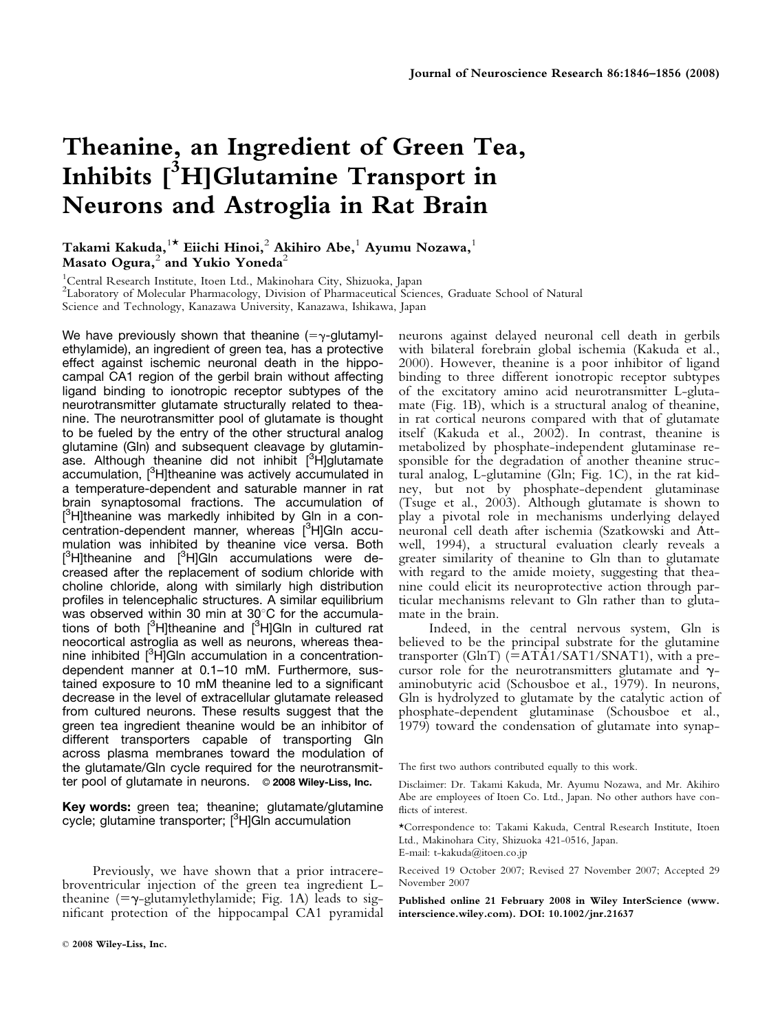# Theanine, an Ingredient of Green Tea, Inhibits [<sup>3</sup>H]Glutamine Transport in Neurons and Astroglia in Rat Brain

# Takami Kakuda,  $1^\star$  Eiichi Hinoi, $^2$  Akihiro Abe, $^1$  Ayumu Nozawa, $^1$ Masato Ogura, $<sup>2</sup>$  and Yukio Yoneda<sup>2</sup></sup>

<sup>1</sup>Central Research Institute, Itoen Ltd., Makinohara City, Shizuoka, Japan 2 Laboratory of Molecular Pharmacology, Division of Pharmaceutical Sciences, Graduate School of Natural Science and Technology, Kanazawa University, Kanazawa, Ishikawa, Japan

We have previously shown that theanine  $(=\gamma$ -glutamylethylamide), an ingredient of green tea, has a protective effect against ischemic neuronal death in the hippocampal CA1 region of the gerbil brain without affecting ligand binding to ionotropic receptor subtypes of the neurotransmitter glutamate structurally related to theanine. The neurotransmitter pool of glutamate is thought to be fueled by the entry of the other structural analog glutamine (Gln) and subsequent cleavage by glutaminase. Although theanine did not inhibit [<sup>3</sup>H]glutamate accumulation, [<sup>3</sup>H]theanine was actively accumulated in a temperature-dependent and saturable manner in rat brain synaptosomal fractions. The accumulation of [<sup>3</sup>H]theanine was markedly inhibited by Gln in a concentration-dependent manner, whereas [<sup>3</sup>H]Gln accumulation was inhibited by theanine vice versa. Both [<sup>3</sup>H]theanine and [<sup>3</sup>H]Gln accumulations were decreased after the replacement of sodium chloride with choline chloride, along with similarly high distribution profiles in telencephalic structures. A similar equilibrium was observed within 30 min at  $30^{\circ}$ C for the accumulations of both [<sup>3</sup>H]theanine and [<sup>3</sup>H]Gln in cultured rat neocortical astroglia as well as neurons, whereas theanine inhibited [<sup>3</sup>H]Gln accumulation in a concentrationdependent manner at 0.1–10 mM. Furthermore, sustained exposure to 10 mM theanine led to a significant decrease in the level of extracellular glutamate released from cultured neurons. These results suggest that the green tea ingredient theanine would be an inhibitor of different transporters capable of transporting Gln across plasma membranes toward the modulation of the glutamate/Gln cycle required for the neurotransmitter pool of glutamate in neurons.  $\circ$  2008 Wiley-Liss, Inc.

Key words: green tea; theanine; glutamate/glutamine cycle; glutamine transporter; [<sup>3</sup>H]Gln accumulation

Previously, we have shown that a prior intracerebroventricular injection of the green tea ingredient Ltheanine  $(=\gamma$ -glutamylethylamide; Fig. 1A) leads to significant protection of the hippocampal CA1 pyramidal

neurons against delayed neuronal cell death in gerbils with bilateral forebrain global ischemia (Kakuda et al., 2000). However, theanine is a poor inhibitor of ligand binding to three different ionotropic receptor subtypes of the excitatory amino acid neurotransmitter L-glutamate (Fig. 1B), which is a structural analog of theanine, in rat cortical neurons compared with that of glutamate itself (Kakuda et al., 2002). In contrast, theanine is metabolized by phosphate-independent glutaminase responsible for the degradation of another theanine structural analog, L-glutamine (Gln; Fig. 1C), in the rat kidney, but not by phosphate-dependent glutaminase (Tsuge et al., 2003). Although glutamate is shown to play a pivotal role in mechanisms underlying delayed neuronal cell death after ischemia (Szatkowski and Attwell, 1994), a structural evaluation clearly reveals a greater similarity of theanine to Gln than to glutamate with regard to the amide moiety, suggesting that theanine could elicit its neuroprotective action through particular mechanisms relevant to Gln rather than to glutamate in the brain.

Indeed, in the central nervous system, Gln is believed to be the principal substrate for the glutamine transporter (GlnT)  $(=\text{ATA1/SAT1/SNAT1})$ , with a precursor role for the neurotransmitters glutamate and  $\gamma$ aminobutyric acid (Schousboe et al., 1979). In neurons, Gln is hydrolyzed to glutamate by the catalytic action of phosphate-dependent glutaminase (Schousboe et al., 1979) toward the condensation of glutamate into synap-

The first two authors contributed equally to this work.

Disclaimer: Dr. Takami Kakuda, Mr. Ayumu Nozawa, and Mr. Akihiro Abe are employees of Itoen Co. Ltd., Japan. No other authors have conflicts of interest.

\*Correspondence to: Takami Kakuda, Central Research Institute, Itoen Ltd., Makinohara City, Shizuoka 421-0516, Japan. E-mail: t-kakuda@itoen.co.jp

Received 19 October 2007; Revised 27 November 2007; Accepted 29 November 2007

Published online 21 February 2008 in Wiley InterScience (www. interscience.wiley.com). DOI: 10.1002/jnr.21637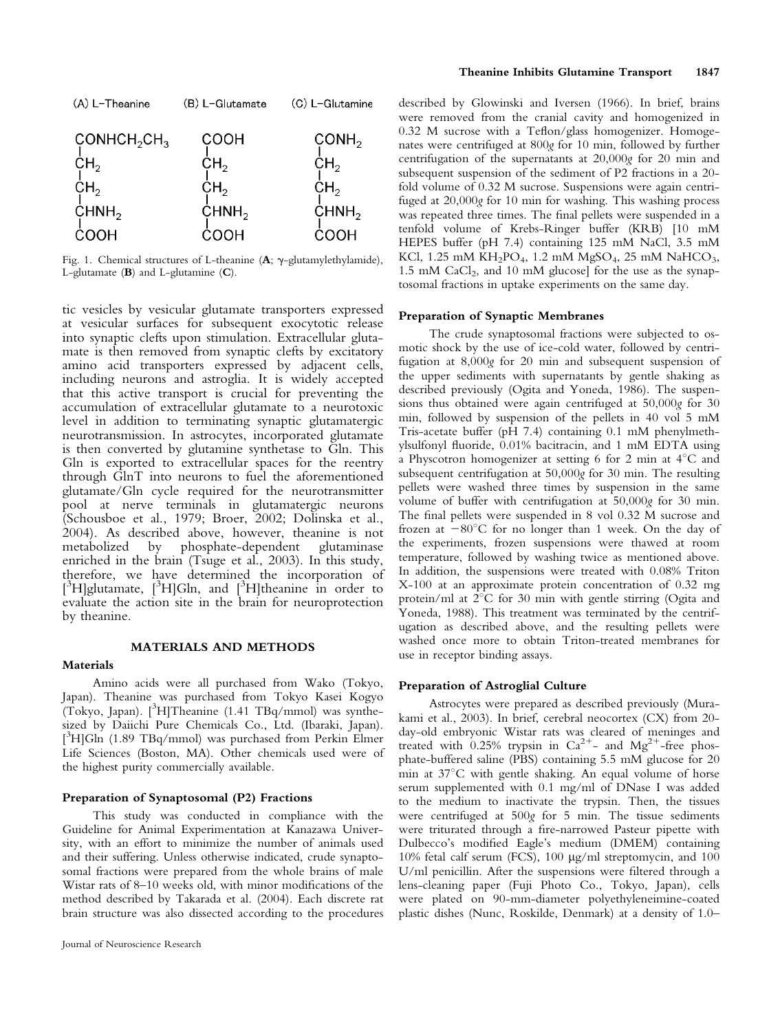

Fig. 1. Chemical structures of L-theanine  $(A; \gamma$ -glutamylethylamide), L-glutamate (B) and L-glutamine (C).

tic vesicles by vesicular glutamate transporters expressed at vesicular surfaces for subsequent exocytotic release into synaptic clefts upon stimulation. Extracellular glutamate is then removed from synaptic clefts by excitatory amino acid transporters expressed by adjacent cells, including neurons and astroglia. It is widely accepted that this active transport is crucial for preventing the accumulation of extracellular glutamate to a neurotoxic level in addition to terminating synaptic glutamatergic neurotransmission. In astrocytes, incorporated glutamate is then converted by glutamine synthetase to Gln. This Gln is exported to extracellular spaces for the reentry through GlnT into neurons to fuel the aforementioned glutamate/Gln cycle required for the neurotransmitter pool at nerve terminals in glutamatergic neurons (Schousboe et al., 1979; Broer, 2002; Dolinska et al., 2004). As described above, however, theanine is not by phosphate-dependent glutaminase enriched in the brain (Tsuge et al., 2003). In this study, therefore, we have determined the incorporation of  $[3\text{H}]$ glutamate,  $[3\text{H}]$ Gln, and  $[3\text{H}]$ theanine in order to evaluate the action site in the brain for neuroprotection by theanine.

#### MATERIALS AND METHODS

#### Materials

Amino acids were all purchased from Wako (Tokyo, Japan). Theanine was purchased from Tokyo Kasei Kogyo (Tokyo, Japan). [3 H]Theanine (1.41 TBq/mmol) was synthesized by Daiichi Pure Chemicals Co., Ltd. (Ibaraki, Japan). [ 3 H]Gln (1.89 TBq/mmol) was purchased from Perkin Elmer Life Sciences (Boston, MA). Other chemicals used were of the highest purity commercially available.

#### Preparation of Synaptosomal (P2) Fractions

This study was conducted in compliance with the Guideline for Animal Experimentation at Kanazawa University, with an effort to minimize the number of animals used and their suffering. Unless otherwise indicated, crude synaptosomal fractions were prepared from the whole brains of male Wistar rats of 8–10 weeks old, with minor modifications of the method described by Takarada et al. (2004). Each discrete rat brain structure was also dissected according to the procedures described by Glowinski and Iversen (1966). In brief, brains were removed from the cranial cavity and homogenized in 0.32 M sucrose with a Teflon/glass homogenizer. Homogenates were centrifuged at 800g for 10 min, followed by further centrifugation of the supernatants at 20,000g for 20 min and subsequent suspension of the sediment of P2 fractions in a 20 fold volume of 0.32 M sucrose. Suspensions were again centrifuged at 20,000g for 10 min for washing. This washing process was repeated three times. The final pellets were suspended in a tenfold volume of Krebs-Ringer buffer (KRB) [10 mM HEPES buffer (pH 7.4) containing 125 mM NaCl, 3.5 mM KCl, 1.25 mM  $KH_2PO_4$ , 1.2 mM  $MgSO_4$ , 25 mM  $NaHCO_3$ , 1.5 mM  $CaCl<sub>2</sub>$ , and 10 mM glucose] for the use as the synaptosomal fractions in uptake experiments on the same day.

#### Preparation of Synaptic Membranes

The crude synaptosomal fractions were subjected to osmotic shock by the use of ice-cold water, followed by centrifugation at 8,000g for 20 min and subsequent suspension of the upper sediments with supernatants by gentle shaking as described previously (Ogita and Yoneda, 1986). The suspensions thus obtained were again centrifuged at 50,000g for 30 min, followed by suspension of the pellets in 40 vol 5 mM Tris-acetate buffer (pH 7.4) containing 0.1 mM phenylmethylsulfonyl fluoride, 0.01% bacitracin, and 1 mM EDTA using a Physcotron homogenizer at setting 6 for 2 min at  $4^{\circ}$ C and subsequent centrifugation at 50,000g for 30 min. The resulting pellets were washed three times by suspension in the same volume of buffer with centrifugation at 50,000g for 30 min. The final pellets were suspended in 8 vol 0.32 M sucrose and frozen at  $-80^{\circ}$ C for no longer than 1 week. On the day of the experiments, frozen suspensions were thawed at room temperature, followed by washing twice as mentioned above. In addition, the suspensions were treated with 0.08% Triton X-100 at an approximate protein concentration of 0.32 mg protein/ml at 2°C for 30 min with gentle stirring (Ogita and Yoneda, 1988). This treatment was terminated by the centrifugation as described above, and the resulting pellets were washed once more to obtain Triton-treated membranes for use in receptor binding assays.

#### Preparation of Astroglial Culture

Astrocytes were prepared as described previously (Murakami et al., 2003). In brief, cerebral neocortex (CX) from 20 day-old embryonic Wistar rats was cleared of meninges and treated with 0.25% trypsin in  $Ca^{2+}$ - and  $Mg^{2+}$ -free phosphate-buffered saline (PBS) containing 5.5 mM glucose for 20 min at  $37^{\circ}$ C with gentle shaking. An equal volume of horse serum supplemented with 0.1 mg/ml of DNase I was added to the medium to inactivate the trypsin. Then, the tissues were centrifuged at 500g for 5 min. The tissue sediments were triturated through a fire-narrowed Pasteur pipette with Dulbecco's modified Eagle's medium (DMEM) containing 10% fetal calf serum (FCS), 100 lg/ml streptomycin, and 100 U/ml penicillin. After the suspensions were filtered through a lens-cleaning paper (Fuji Photo Co., Tokyo, Japan), cells were plated on 90-mm-diameter polyethyleneimine-coated plastic dishes (Nunc, Roskilde, Denmark) at a density of 1.0–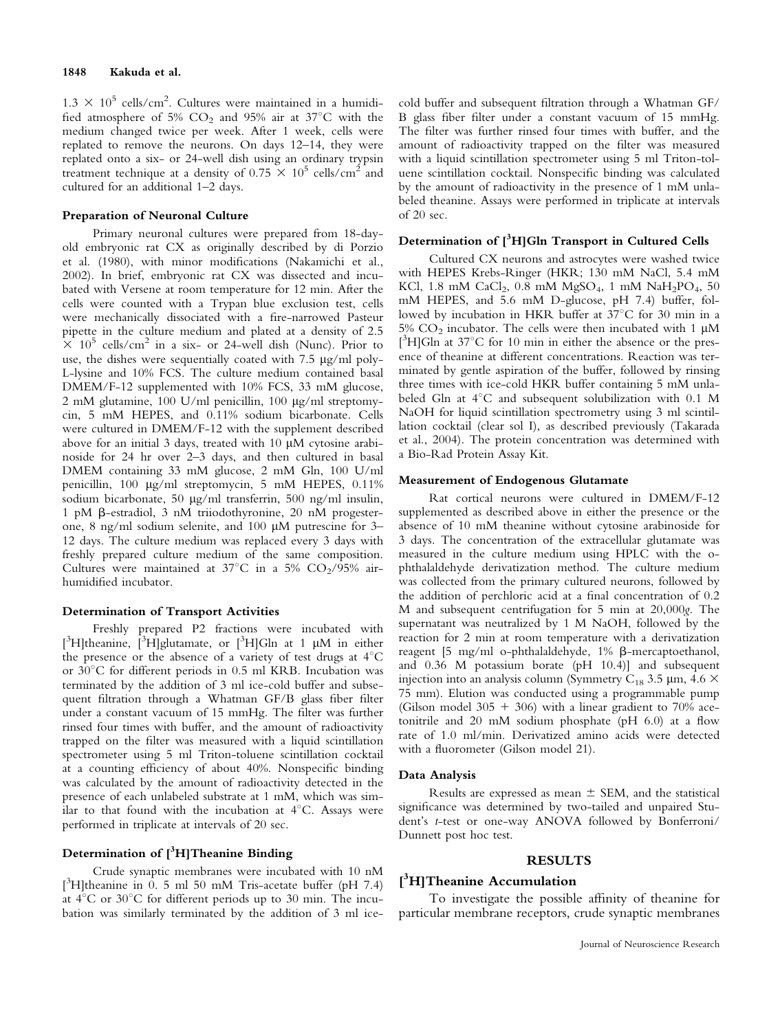$1.3 \times 10^5$  cells/cm<sup>2</sup>. Cultures were maintained in a humidi-<br>fied atmosphere of 5% CO<sub>2</sub> and 95% air at 37°C with the fied atmosphere of 5%  $CO<sub>2</sub>$  and 95% air at 37°C with the medium changed twice per week. After 1 week, cells were replated to remove the neurons. On days 12–14, they were replated onto a six- or 24-well dish using an ordinary trypsin treatment technique at a density of  $0.75 \times 10^5$  cells/cm<sup>2</sup> and cultured for an additional 1–2 days.

#### Preparation of Neuronal Culture

Primary neuronal cultures were prepared from 18-dayold embryonic rat CX as originally described by di Porzio et al. (1980), with minor modifications (Nakamichi et al., 2002). In brief, embryonic rat CX was dissected and incubated with Versene at room temperature for 12 min. After the cells were counted with a Trypan blue exclusion test, cells were mechanically dissociated with a fire-narrowed Pasteur pipette in the culture medium and plated at a density of 2.5  $\times$  10<sup>5</sup> cells/cm<sup>2</sup> in a six- or 24-well dish (Nunc). Prior to use, the dishes were sequentially coated with 7.5  $\mu$ g/ml poly-L-lysine and 10% FCS. The culture medium contained basal DMEM/F-12 supplemented with 10% FCS, 33 mM glucose, 2 mM glutamine,  $100 \text{ U/ml}$  penicillin,  $100 \text{ µg/ml}$  streptomycin, 5 mM HEPES, and 0.11% sodium bicarbonate. Cells were cultured in DMEM/F-12 with the supplement described above for an initial 3 days, treated with 10  $\mu$ M cytosine arabinoside for 24 hr over 2–3 days, and then cultured in basal DMEM containing 33 mM glucose, 2 mM Gln, 100 U/ml penicillin, 100 lg/ml streptomycin, 5 mM HEPES, 0.11% sodium bicarbonate, 50 µg/ml transferrin, 500 ng/ml insulin, 1 pM b-estradiol, 3 nM triiodothyronine, 20 nM progesterone, 8 ng/ml sodium selenite, and 100 µM putrescine for 3-12 days. The culture medium was replaced every 3 days with freshly prepared culture medium of the same composition. Cultures were maintained at  $37^{\circ}$ C in a 5% CO<sub>2</sub>/95% airhumidified incubator.

#### Determination of Transport Activities

Freshly prepared P2 fractions were incubated with [<sup>3</sup>H]theanine, [<sup>3</sup>H]glutamate, or [<sup>3</sup>H]Gln at 1 µM in either the presence or the absence of a variety of test drugs at  $4^{\circ}$ C or  $30^{\circ}$ C for different periods in 0.5 ml KRB. Incubation was terminated by the addition of 3 ml ice-cold buffer and subsequent filtration through a Whatman GF/B glass fiber filter under a constant vacuum of 15 mmHg. The filter was further rinsed four times with buffer, and the amount of radioactivity trapped on the filter was measured with a liquid scintillation spectrometer using 5 ml Triton-toluene scintillation cocktail at a counting efficiency of about 40%. Nonspecific binding was calculated by the amount of radioactivity detected in the presence of each unlabeled substrate at 1 mM, which was similar to that found with the incubation at  $4^{\circ}$ C. Assays were performed in triplicate at intervals of 20 sec.

# Determination of  $[\,\mathrm{^3H}]$ Theanine Binding

Crude synaptic membranes were incubated with 10 nM [<sup>3</sup>H]theanine in 0. 5 ml 50 mM Tris-acetate buffer (pH 7.4) at  $4^{\circ}$ C or  $30^{\circ}$ C for different periods up to 30 min. The incubation was similarly terminated by the addition of 3 ml icecold buffer and subsequent filtration through a Whatman GF/ B glass fiber filter under a constant vacuum of 15 mmHg. The filter was further rinsed four times with buffer, and the amount of radioactivity trapped on the filter was measured with a liquid scintillation spectrometer using 5 ml Triton-toluene scintillation cocktail. Nonspecific binding was calculated by the amount of radioactivity in the presence of 1 mM unlabeled theanine. Assays were performed in triplicate at intervals of 20 sec.

# Determination of  $[^3\mathrm{H}]$ Gln Transport in Cultured Cells

Cultured CX neurons and astrocytes were washed twice with HEPES Krebs-Ringer (HKR; 130 mM NaCl, 5.4 mM KCl, 1.8 mM CaCl<sub>2</sub>, 0.8 mM MgSO<sub>4</sub>, 1 mM NaH<sub>2</sub>PO<sub>4</sub>, 50 mM HEPES, and 5.6 mM D-glucose, pH 7.4) buffer, followed by incubation in HKR buffer at 37°C for 30 min in a 5%  $CO<sub>2</sub>$  incubator. The cells were then incubated with 1  $\mu$ M [<sup>3</sup>H]Gln at 37°C for 10 min in either the absence or the presence of theanine at different concentrations. Reaction was terminated by gentle aspiration of the buffer, followed by rinsing three times with ice-cold HKR buffer containing 5 mM unlabeled Gln at  $4^{\circ}$ C and subsequent solubilization with 0.1 M NaOH for liquid scintillation spectrometry using 3 ml scintillation cocktail (clear sol I), as described previously (Takarada et al., 2004). The protein concentration was determined with a Bio-Rad Protein Assay Kit.

#### Measurement of Endogenous Glutamate

Rat cortical neurons were cultured in DMEM/F-12 supplemented as described above in either the presence or the absence of 10 mM theanine without cytosine arabinoside for 3 days. The concentration of the extracellular glutamate was measured in the culture medium using HPLC with the ophthalaldehyde derivatization method. The culture medium was collected from the primary cultured neurons, followed by the addition of perchloric acid at a final concentration of 0.2 M and subsequent centrifugation for 5 min at 20,000g. The supernatant was neutralized by 1 M NaOH, followed by the reaction for 2 min at room temperature with a derivatization reagent  $[5 \text{ mg/ml}$  o-phthalaldehyde,  $1\%$   $\beta$ -mercaptoethanol, and 0.36 M potassium borate (pH 10.4)] and subsequent injection into an analysis column (Symmetry C<sub>18</sub> 3.5 µm, 4.6  $\times$ 75 mm). Elution was conducted using a programmable pump (Gilson model 305 + 306) with a linear gradient to 70% acetonitrile and 20 mM sodium phosphate (pH 6.0) at a flow rate of 1.0 ml/min. Derivatized amino acids were detected with a fluorometer (Gilson model 21).

#### Data Analysis

Results are expressed as mean  $\pm$  SEM, and the statistical significance was determined by two-tailed and unpaired Student's t-test or one-way ANOVA followed by Bonferroni/ Dunnett post hoc test.

#### RESULTS

# [ 3 H]Theanine Accumulation

To investigate the possible affinity of theanine for particular membrane receptors, crude synaptic membranes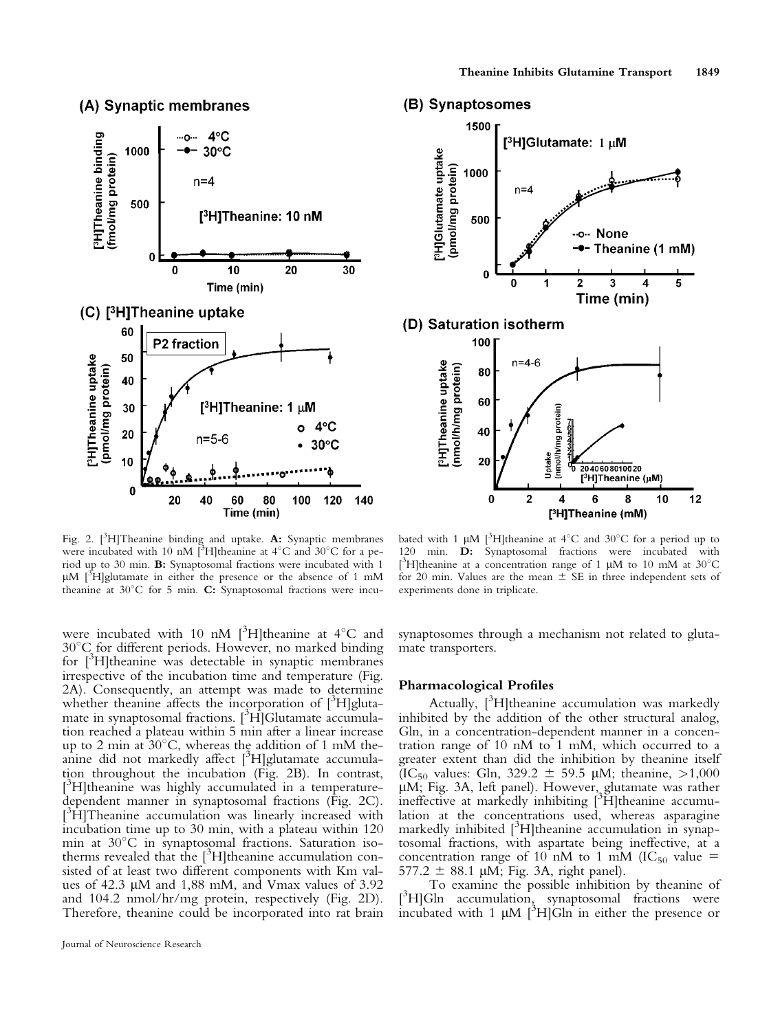### (A) Synaptic membranes



Fig. 2.  $[^{3}H]$ Theanine binding and uptake. A: Synaptic membranes were incubated with 10 nM [3H]theanine at  $4^{\circ}$ C and  $30^{\circ}$ C for a period up to 30 min. B: Synaptosomal fractions were incubated with 1  $\mu$ M [<sup>3</sup>H]glutamate in either the presence or the absence of 1 mM theanine at  $30^{\circ}$ C for 5 min. C: Synaptosomal fractions were incu-

were incubated with 10 nM  $[^{3}H]$ theanine at 4°C and  $30^{\circ}$ C for different periods. However, no marked binding for [<sup>3</sup>H]theanine was detectable in synaptic membranes irrespective of the incubation time and temperature (Fig. 2A). Consequently, an attempt was made to determine whether theanine affects the incorporation of [<sup>3</sup>H]glutamate in synaptosomal fractions. [<sup>3</sup>H]Glutamate accumulation reached a plateau within 5 min after a linear increase up to 2 min at  $30^{\circ}$ C, whereas the addition of 1 mM theanine did not markedly affect  $[^{3}H]$ glutamate accumulation throughout the incubation (Fig. 2B). In contrast, <sup>13</sup>H]theanine was highly accumulated in a temperaturedependent manner in synaptosomal fractions (Fig. 2C). <sup>3</sup>H]Theanine accumulation was linearly increased with incubation time up to 30 min, with a plateau within 120 min at  $30^{\circ}$ C in synaptosomal fractions. Saturation isotherms revealed that the [<sup>3</sup>H]theanine accumulation consisted of at least two different components with Km values of 42.3 µM and 1,88 mM, and Vmax values of 3.92 and 104.2 nmol/hr/mg protein, respectively (Fig. 2D). Therefore, theanine could be incorporated into rat brain

#### (B) Synaptosomes



bated with 1  $\mu$ M [<sup>3</sup>H]theanine at 4°C and 30°C for a period up to 120 min. D: Synaptosomal fractions were incubated with [<sup>3</sup>H]theanine at a concentration range of 1  $\mu$ M to 10 mM at 30°C for 20 min. Values are the mean  $\pm$  SE in three independent sets of experiments done in triplicate.

synaptosomes through a mechanism not related to glutamate transporters.

#### Pharmacological Profiles

Actually, [<sup>3</sup>H]theanine accumulation was markedly inhibited by the addition of the other structural analog, Gln, in a concentration-dependent manner in a concentration range of 10 nM to 1 mM, which occurred to a greater extent than did the inhibition by theanine itself (IC<sub>50</sub> values: Gln, 329.2  $\pm$  59.5 µM; theanine, >1,000 lM; Fig. 3A, left panel). However, glutamate was rather ineffective at markedly inhibiting [<sup>3</sup>H]theanine accumulation at the concentrations used, whereas asparagine markedly inhibited <sup>[3</sup>H]theanine accumulation in synaptosomal fractions, with aspartate being ineffective, at a concentration range of 10 nM to 1 mM (IC<sub>50</sub> value = 577.2  $\pm$  88.1 µM; Fig. 3A, right panel).

To examine the possible inhibition by theanine of  $[{}^3H]$ Gln accumulation, synaptosomal fractions were incubated with  $1 \mu M$  [<sup>3</sup>H]Gln in either the presence or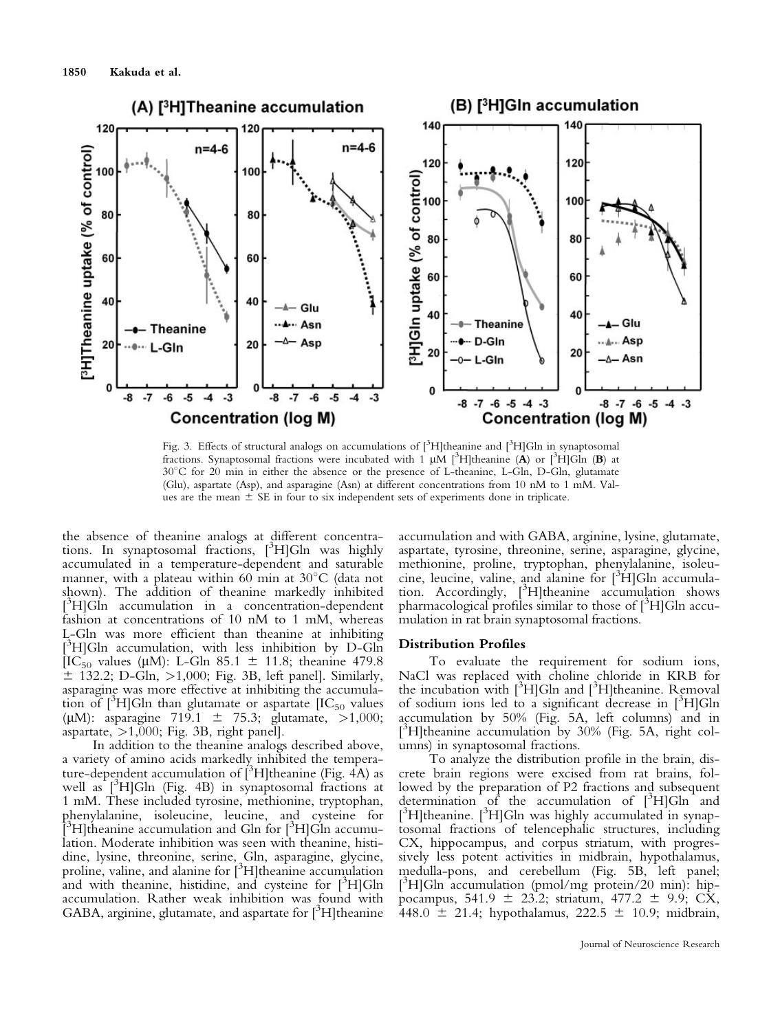

Fig. 3. Effects of structural analogs on accumulations of [<sup>3</sup>H]theanine and [<sup>3</sup>H]Gln in synaptosomal fractions. Synaptosomal fractions were incubated with 1  $\mu$ M [<sup>3</sup>H]theanine (A) or [<sup>3</sup>H]GIn (B) at 308C for 20 min in either the absence or the presence of L-theanine, L-Gln, D-Gln, glutamate (Glu), aspartate (Asp), and asparagine (Asn) at different concentrations from 10 nM to 1 mM. Values are the mean  $\pm$  SE in four to six independent sets of experiments done in triplicate.

the absence of theanine analogs at different concentrations. In synaptosomal fractions, [3 H]Gln was highly accumulated in a temperature-dependent and saturable manner, with a plateau within 60 min at  $30^{\circ}$ C (data not shown). The addition of theanine markedly inhibited <sup>3</sup>H]Gln accumulation in a concentration-dependent fashion at concentrations of 10 nM to 1 mM, whereas L-Gln was more efficient than theanine at inhibiting [ 3 H]Gln accumulation, with less inhibition by D-Gln [IC<sub>50</sub> values (µM): L-Gln 85.1  $\pm$  11.8; theanine 479.8  $\pm$  132.2; D-Gln,  $>1,000$ ; Fig. 3B, left panel]. Similarly, asparagine was more effective at inhibiting the accumulation of  $[^{3}H]Gln$  than glutamate or aspartate  $[IC_{50}$  values ( $\mu$ M): asparagine 719.1  $\pm$  75.3; glutamate, >1,000; aspartate,  $>1,000$ ; Fig. 3B, right panel].

In addition to the theanine analogs described above, a variety of amino acids markedly inhibited the temperature-dependent accumulation of  $[^3H]$ theanine (Fig. 4A) as well as  $[^{3}H]Gln$  (Fig. 4B) in synaptosomal fractions at 1 mM. These included tyrosine, methionine, tryptophan, phenylalanine, isoleucine, leucine, and cysteine for  $[3\text{H}]$ theanine accumulation and Gln for  $[3\text{H}]$ Gln accumulation. Moderate inhibition was seen with theanine, histidine, lysine, threonine, serine, Gln, asparagine, glycine, proline, valine, and alanine for [<sup>3</sup>H]theanine accumulation and with theanine, histidine, and cysteine for [3H]Gln accumulation. Rather weak inhibition was found with GABA, arginine, glutamate, and aspartate for [<sup>3</sup>H]theanine

accumulation and with GABA, arginine, lysine, glutamate, aspartate, tyrosine, threonine, serine, asparagine, glycine, methionine, proline, tryptophan, phenylalanine, isoleucine, leucine, valine, and alanine for [3 H]Gln accumulation. Accordingly, [3 H]theanine accumulation shows pharmacological profiles similar to those of [<sup>3</sup> H]Gln accumulation in rat brain synaptosomal fractions.

#### Distribution Profiles

To evaluate the requirement for sodium ions, NaCl was replaced with choline chloride in KRB for the incubation with  $[{}^3H]$ Gln and  $[{}^3H]$ theanine. Removal of sodium ions led to a significant decrease in [<sup>3</sup> H]Gln accumulation by 50% (Fig. 5A, left columns) and in <sup>3</sup>H]theanine accumulation by 30% (Fig. 5A, right columns) in synaptosomal fractions.

To analyze the distribution profile in the brain, discrete brain regions were excised from rat brains, followed by the preparation of P2 fractions and subsequent determination of the accumulation of  $[3H]$ Gln and [<sup>3</sup>H]theanine. [<sup>3</sup>H]Gln was highly accumulated in synaptosomal fractions of telencephalic structures, including CX, hippocampus, and corpus striatum, with progressively less potent activities in midbrain, hypothalamus, medulla-pons, and cerebellum (Fig. 5B, left panel; [ 3 H]Gln accumulation (pmol/mg protein/20 min): hippocampus, 541.9  $\pm$  23.2; striatum, 477.2  $\pm$  9.9; CX, 448.0  $\pm$  21.4; hypothalamus, 222.5  $\pm$  10.9; midbrain,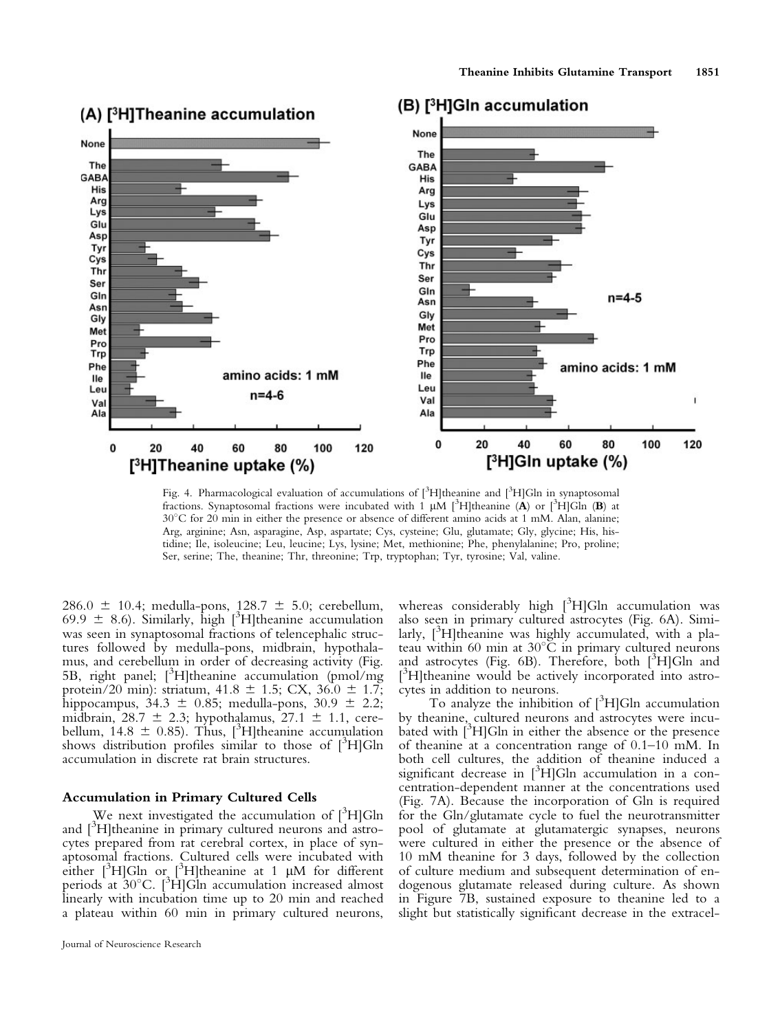

Fig. 4. Pharmacological evaluation of accumulations of [<sup>3</sup>H]theanine and [<sup>3</sup>H]Gln in synaptosomal fractions. Synaptosomal fractions were incubated with 1  $\mu$ M [<sup>3</sup>H]theanine (**A**) or [<sup>3</sup>H]GIn (**B**) at 308C for 20 min in either the presence or absence of different amino acids at 1 mM. Alan, alanine; Arg, arginine; Asn, asparagine, Asp, aspartate; Cys, cysteine; Glu, glutamate; Gly, glycine; His, histidine; Ile, isoleucine; Leu, leucine; Lys, lysine; Met, methionine; Phe, phenylalanine; Pro, proline; Ser, serine; The, theanine; Thr, threonine; Trp, tryptophan; Tyr, tyrosine; Val, valine.

286.0  $\pm$  10.4; medulla-pons, 128.7  $\pm$  5.0; cerebellum,  $69.9 \pm 8.6$ ). Similarly, high [<sup>3</sup>H]theanine accumulation was seen in synaptosomal fractions of telencephalic strucwas seen in synaptosomal fractions of telencephalic structures followed by medulla-pons, midbrain, hypothalamus, and cerebellum in order of decreasing activity (Fig. 5B, right panel; [<sup>3</sup>H]theanine accumulation (pmol/mg protein/20 min): striatum,  $41.8 \pm 1.5$ ; CX,  $36.0 \pm 1.7$ ; hippocampus,  $34.3 \pm 0.85$ ; medulla-pons,  $30.9 \pm 2.2$ ; midbrain,  $28.7 \pm 2.3$ ; hypothalamus,  $27.1 \pm 1.1$ , cerebellum,  $14.8 \pm 0.85$ ). Thus,  $[^{3}H]$ theanine accumulation<br>shows distribution profiles similar to those of  $[^{3}H]$ Gln shows distribution profiles similar to those of  $[{}^3H]$ Gln accumulation in discrete rat brain structures.

#### Accumulation in Primary Cultured Cells

We next investigated the accumulation of  $[^3H]$ Gln and [<sup>3</sup>H]theanine in primary cultured neurons and astrocytes prepared from rat cerebral cortex, in place of synaptosomal fractions. Cultured cells were incubated with either  $[{}^3H]$ Gln or  $[{}^3H]$ theanine at 1 µM for different periods at  $30^{\circ}$ C. [<sup>3</sup>H]Gln accumulation increased almost linearly with incubation time up to 20 min and reached a plateau within 60 min in primary cultured neurons,

Journal of Neuroscience Research

whereas considerably high [<sup>3</sup>H]Gln accumulation was also seen in primary cultured astrocytes (Fig. 6A). Similarly, [<sup>3</sup>H]theanine was highly accumulated, with a plateau within 60 min at  $30^{\circ}$ C in primary cultured neurons and astrocytes (Fig. 6B). Therefore, both [<sup>3</sup>H]Gln and [<sup>3</sup>H]theanine would be actively incorporated into astrocytes in addition to neurons.

To analyze the inhibition of  $[{}^3H]$ Gln accumulation by theanine, cultured neurons and astrocytes were incubated with [3 H]Gln in either the absence or the presence of theanine at a concentration range of 0.1–10 mM. In both cell cultures, the addition of theanine induced a significant decrease in  $[^3H]$ Gln accumulation in a concentration-dependent manner at the concentrations used (Fig. 7A). Because the incorporation of Gln is required for the Gln/glutamate cycle to fuel the neurotransmitter pool of glutamate at glutamatergic synapses, neurons were cultured in either the presence or the absence of 10 mM theanine for 3 days, followed by the collection of culture medium and subsequent determination of endogenous glutamate released during culture. As shown in Figure 7B, sustained exposure to theanine led to a slight but statistically significant decrease in the extracel-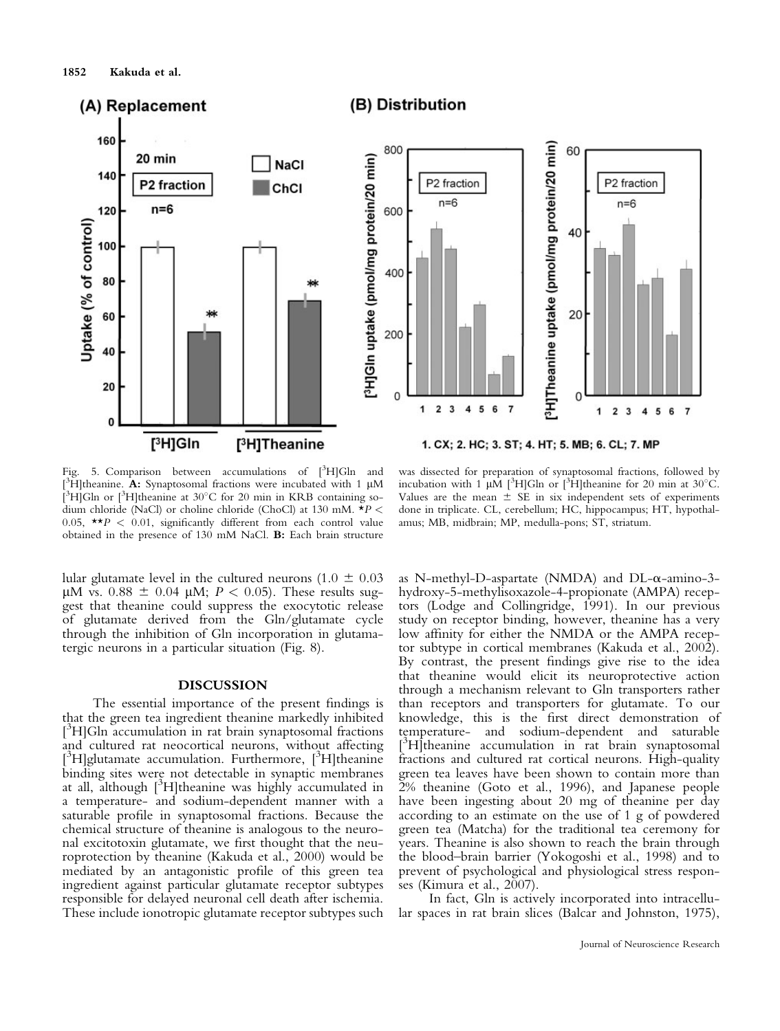

Fig. 5. Comparison between accumulations of  $[^3H]$ Gln and  $[$ <sup>3</sup>H]theanine. A: Synaptosomal fractions were incubated with 1  $\mu$ M [ $3H$ ]Gln or [ $3H$ ]theanine at 30°C for 20 min in KRB containing sodium chloride (NaCl) or choline chloride (ChoCl) at 130 mM.  $*P$  < 0.05,  $\star$   $\star$  P < 0.01, significantly different from each control value obtained in the presence of 130 mM NaCl. B: Each brain structure

was dissected for preparation of synaptosomal fractions, followed by incubation with  $1$   $\mu$ M [<sup>3</sup>H]Gln or [<sup>3</sup>H]theanine for 20 min at 30°C. Values are the mean  $\pm$  SE in six independent sets of experiments done in triplicate. CL, cerebellum; HC, hippocampus; HT, hypothalamus; MB, midbrain; MP, medulla-pons; ST, striatum.

lular glutamate level in the cultured neurons (1.0  $\pm$  0.03  $\mu$ M vs. 0.88  $\pm$  0.04  $\mu$ M: *P* < 0.05). These results sug- $\mu$ M vs. 0.88  $\pm$  0.04  $\mu$ M;  $P < 0.05$ ). These results sug-<br>gest that theanine could suppress the exocytotic release gest that theanine could suppress the exocytotic release of glutamate derived from the Gln/glutamate cycle through the inhibition of Gln incorporation in glutamatergic neurons in a particular situation (Fig. 8).

#### DISCUSSION

The essential importance of the present findings is that the green tea ingredient theanine markedly inhibited <sup>13</sup>H]Gln accumulation in rat brain synaptosomal fractions and cultured rat neocortical neurons, without affecting [<sup>3</sup>H]glutamate accumulation. Furthermore, [<sup>3</sup>H]theanine binding sites were not detectable in synaptic membranes at all, although [<sup>3</sup>H]theanine was highly accumulated in a temperature- and sodium-dependent manner with a saturable profile in synaptosomal fractions. Because the chemical structure of theanine is analogous to the neuronal excitotoxin glutamate, we first thought that the neuroprotection by theanine (Kakuda et al., 2000) would be mediated by an antagonistic profile of this green tea ingredient against particular glutamate receptor subtypes responsible for delayed neuronal cell death after ischemia. These include ionotropic glutamate receptor subtypes such as N-methyl-D-aspartate (NMDA) and DL- $\alpha$ -amino-3hydroxy-5-methylisoxazole-4-propionate (AMPA) receptors (Lodge and Collingridge, 1991). In our previous study on receptor binding, however, theanine has a very low affinity for either the NMDA or the AMPA receptor subtype in cortical membranes (Kakuda et al., 2002). By contrast, the present findings give rise to the idea that theanine would elicit its neuroprotective action through a mechanism relevant to Gln transporters rather than receptors and transporters for glutamate. To our knowledge, this is the first direct demonstration of temperature- and sodium-dependent and saturable [<sup>3</sup>H]theanine accumulation in rat brain synaptosomal fractions and cultured rat cortical neurons. High-quality green tea leaves have been shown to contain more than 2% theanine (Goto et al., 1996), and Japanese people have been ingesting about 20 mg of theanine per day according to an estimate on the use of 1 g of powdered green tea (Matcha) for the traditional tea ceremony for years. Theanine is also shown to reach the brain through the blood–brain barrier (Yokogoshi et al., 1998) and to prevent of psychological and physiological stress responses (Kimura et al., 2007).

In fact, Gln is actively incorporated into intracellular spaces in rat brain slices (Balcar and Johnston, 1975),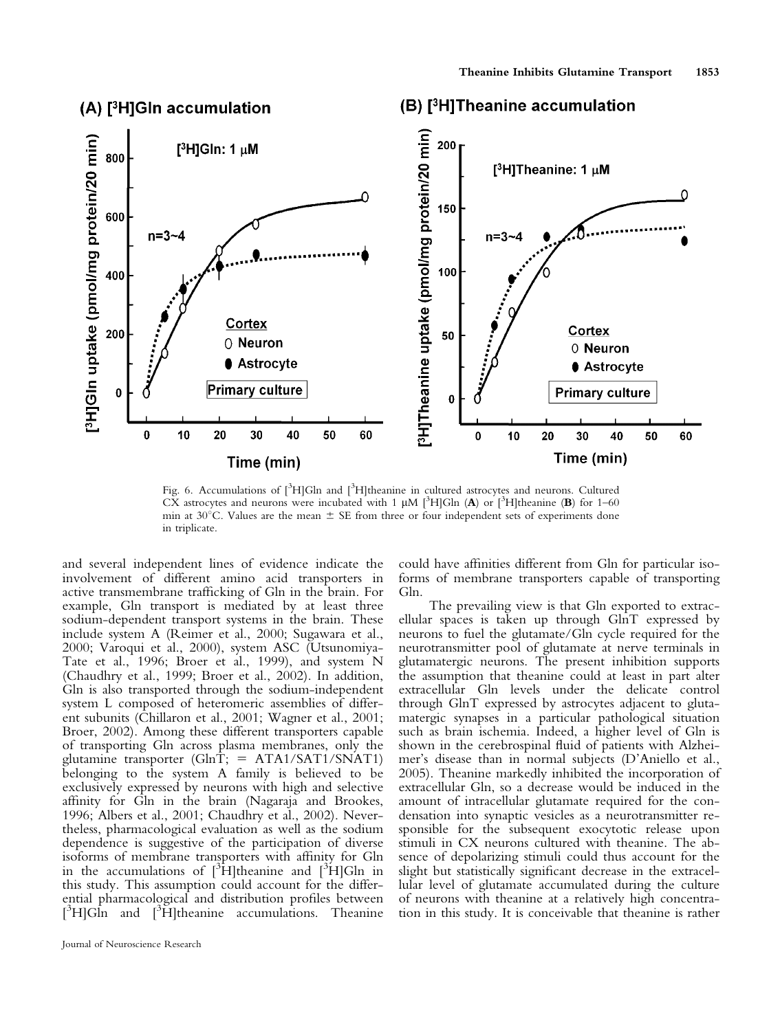

# (A) [<sup>3</sup>H]GIn accumulation

# (B) [<sup>3</sup>H]Theanine accumulation

Fig. 6. Accumulations of [<sup>3</sup>H]Gln and [<sup>3</sup>H]theanine in cultured astrocytes and neurons. Cultured CX astrocytes and neurons were incubated with 1  $\mu$ M [<sup>3</sup>H]Gln (A) or [<sup>3</sup>H]theanine (B) for 1–60 min at  $30^{\circ}$ C. Values are the mean  $\pm$  SE from three or four independent sets of experiments done in triplicate.

and several independent lines of evidence indicate the involvement of different amino acid transporters in active transmembrane trafficking of Gln in the brain. For example, Gln transport is mediated by at least three sodium-dependent transport systems in the brain. These include system A (Reimer et al., 2000; Sugawara et al., 2000; Varoqui et al., 2000), system ASC (Utsunomiya-Tate et al., 1996; Broer et al., 1999), and system N (Chaudhry et al., 1999; Broer et al., 2002). In addition, Gln is also transported through the sodium-independent system L composed of heteromeric assemblies of different subunits (Chillaron et al., 2001; Wagner et al., 2001; Broer, 2002). Among these different transporters capable of transporting Gln across plasma membranes, only the glutamine transporter  $(GlnT)$ ; = ATA1/SAT1/SNAT1) belonging to the system A family is believed to be exclusively expressed by neurons with high and selective affinity for Gln in the brain (Nagaraja and Brookes, 1996; Albers et al., 2001; Chaudhry et al., 2002). Nevertheless, pharmacological evaluation as well as the sodium dependence is suggestive of the participation of diverse isoforms of membrane transporters with affinity for Gln in the accumulations of  $\int_0^3 H$ ]theanine and  $\int_0^3 H$ ]Gln in this study. This assumption could account for the differential pharmacological and distribution profiles between  $[3H]$ Gln and  $[3H]$ theanine accumulations. Theanine

could have affinities different from Gln for particular isoforms of membrane transporters capable of transporting Gln.

The prevailing view is that Gln exported to extracellular spaces is taken up through GlnT expressed by neurons to fuel the glutamate/Gln cycle required for the neurotransmitter pool of glutamate at nerve terminals in glutamatergic neurons. The present inhibition supports the assumption that theanine could at least in part alter extracellular Gln levels under the delicate control through GlnT expressed by astrocytes adjacent to glutamatergic synapses in a particular pathological situation such as brain ischemia. Indeed, a higher level of Gln is shown in the cerebrospinal fluid of patients with Alzheimer's disease than in normal subjects (D'Aniello et al., 2005). Theanine markedly inhibited the incorporation of extracellular Gln, so a decrease would be induced in the amount of intracellular glutamate required for the condensation into synaptic vesicles as a neurotransmitter responsible for the subsequent exocytotic release upon stimuli in CX neurons cultured with theanine. The absence of depolarizing stimuli could thus account for the slight but statistically significant decrease in the extracellular level of glutamate accumulated during the culture of neurons with theanine at a relatively high concentration in this study. It is conceivable that theanine is rather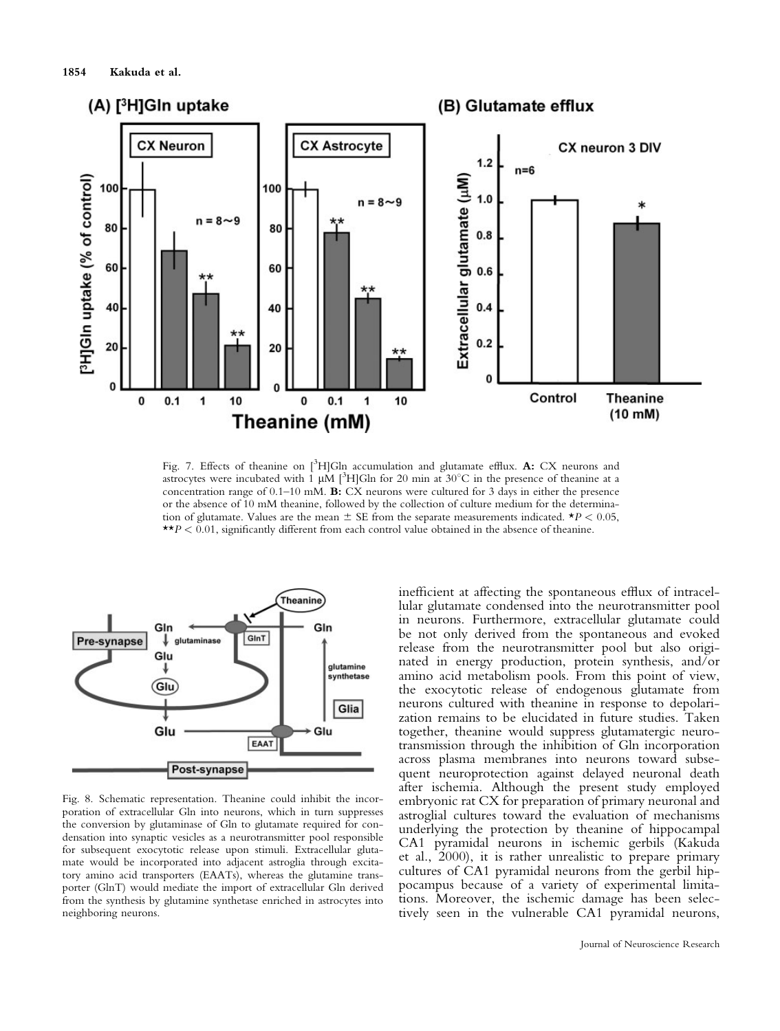

Fig. 7. Effects of theanine on [<sup>3</sup>H]Gln accumulation and glutamate efflux. A: CX neurons and astrocytes were incubated with 1  $\mu$ M [<sup>3</sup>H]Gln for 20 min at 30°C in the presence of theanine at a concentration range of 0.1–10 mM. B: CX neurons were cultured for 3 days in either the presence or the absence of 10 mM theanine, followed by the collection of culture medium for the determination of glutamate. Values are the mean  $\pm$  SE from the separate measurements indicated. \*P < 0.05,  $\star \star p < 0.01$ , significantly different from each control value obtained in the absence of theanine.



Fig. 8. Schematic representation. Theanine could inhibit the incorporation of extracellular Gln into neurons, which in turn suppresses the conversion by glutaminase of Gln to glutamate required for condensation into synaptic vesicles as a neurotransmitter pool responsible for subsequent exocytotic release upon stimuli. Extracellular glutamate would be incorporated into adjacent astroglia through excitatory amino acid transporters (EAATs), whereas the glutamine transporter (GlnT) would mediate the import of extracellular Gln derived from the synthesis by glutamine synthetase enriched in astrocytes into neighboring neurons.

inefficient at affecting the spontaneous efflux of intracellular glutamate condensed into the neurotransmitter pool in neurons. Furthermore, extracellular glutamate could be not only derived from the spontaneous and evoked release from the neurotransmitter pool but also originated in energy production, protein synthesis, and/or amino acid metabolism pools. From this point of view, the exocytotic release of endogenous glutamate from neurons cultured with theanine in response to depolarization remains to be elucidated in future studies. Taken together, theanine would suppress glutamatergic neurotransmission through the inhibition of Gln incorporation across plasma membranes into neurons toward subsequent neuroprotection against delayed neuronal death after ischemia. Although the present study employed embryonic rat CX for preparation of primary neuronal and astroglial cultures toward the evaluation of mechanisms underlying the protection by theanine of hippocampal CA1 pyramidal neurons in ischemic gerbils (Kakuda et al., 2000), it is rather unrealistic to prepare primary cultures of CA1 pyramidal neurons from the gerbil hippocampus because of a variety of experimental limitations. Moreover, the ischemic damage has been selectively seen in the vulnerable CA1 pyramidal neurons,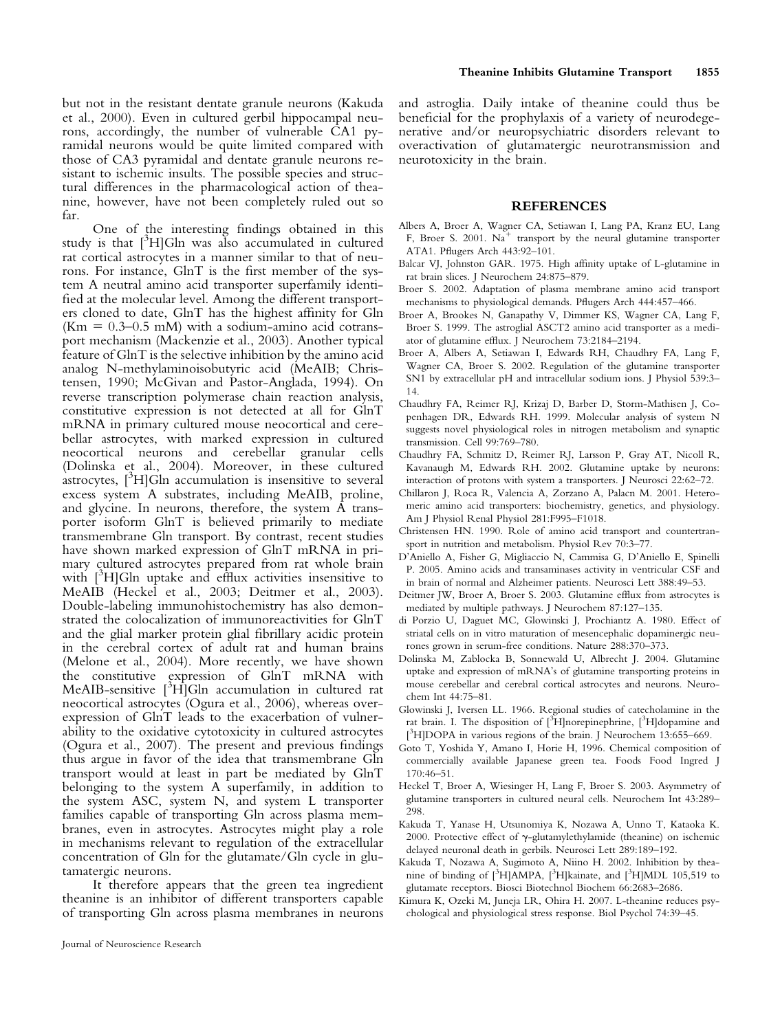but not in the resistant dentate granule neurons (Kakuda et al., 2000). Even in cultured gerbil hippocampal neurons, accordingly, the number of vulnerable CA1 pyramidal neurons would be quite limited compared with those of CA3 pyramidal and dentate granule neurons resistant to ischemic insults. The possible species and structural differences in the pharmacological action of theanine, however, have not been completely ruled out so far.

One of the interesting findings obtained in this study is that  $[^{3}H]$ Gln was also accumulated in cultured rat cortical astrocytes in a manner similar to that of neurons. For instance, GlnT is the first member of the system A neutral amino acid transporter superfamily identified at the molecular level. Among the different transporters cloned to date, GlnT has the highest affinity for Gln ( $\text{Km} = 0.3{\text{-}}0.5 \text{ mM}$ ) with a sodium-amino acid cotransport mechanism (Mackenzie et al., 2003). Another typical feature of GlnT is the selective inhibition by the amino acid analog N-methylaminoisobutyric acid (MeAIB; Christensen, 1990; McGivan and Pastor-Anglada, 1994). On reverse transcription polymerase chain reaction analysis, constitutive expression is not detected at all for GlnT mRNA in primary cultured mouse neocortical and cerebellar astrocytes, with marked expression in cultured neocortical neurons and cerebellar granular cells (Dolinska et al., 2004). Moreover, in these cultured  $\frac{3}{\text{atros}}$   $\frac{3}{\text{H}}$  Gln accumulation is insensitive to several excess system A substrates, including MeAIB, proline, and glycine. In neurons, therefore, the system A transporter isoform GlnT is believed primarily to mediate transmembrane Gln transport. By contrast, recent studies have shown marked expression of GlnT mRNA in primary cultured astrocytes prepared from rat whole brain with [<sup>3</sup>H]Gln uptake and efflux activities insensitive to MeAIB (Heckel et al., 2003; Deitmer et al., 2003). Double-labeling immunohistochemistry has also demonstrated the colocalization of immunoreactivities for GlnT and the glial marker protein glial fibrillary acidic protein in the cerebral cortex of adult rat and human brains (Melone et al., 2004). More recently, we have shown the constitutive expression of GlnT mRNA with MeAIB-sensitive  $[{}^{3}\text{H}]$ Gln accumulation in cultured rat neocortical astrocytes (Ogura et al., 2006), whereas overexpression of GlnT leads to the exacerbation of vulnerability to the oxidative cytotoxicity in cultured astrocytes (Ogura et al., 2007). The present and previous findings thus argue in favor of the idea that transmembrane Gln transport would at least in part be mediated by GlnT belonging to the system A superfamily, in addition to the system ASC, system N, and system L transporter families capable of transporting Gln across plasma membranes, even in astrocytes. Astrocytes might play a role in mechanisms relevant to regulation of the extracellular concentration of Gln for the glutamate/Gln cycle in glutamatergic neurons.

It therefore appears that the green tea ingredient theanine is an inhibitor of different transporters capable of transporting Gln across plasma membranes in neurons and astroglia. Daily intake of theanine could thus be beneficial for the prophylaxis of a variety of neurodegenerative and/or neuropsychiatric disorders relevant to overactivation of glutamatergic neurotransmission and neurotoxicity in the brain.

#### REFERENCES

- Albers A, Broer A, Wagner CA, Setiawan I, Lang PA, Kranz EU, Lang F, Broer S. 2001.  $Na<sup>+</sup>$  transport by the neural glutamine transporter ATA1. Pflugers Arch 443:92–101.
- Balcar VJ, Johnston GAR. 1975. High affinity uptake of L-glutamine in rat brain slices. J Neurochem 24:875–879.
- Broer S. 2002. Adaptation of plasma membrane amino acid transport mechanisms to physiological demands. Pflugers Arch 444:457–466.
- Broer A, Brookes N, Ganapathy V, Dimmer KS, Wagner CA, Lang F, Broer S. 1999. The astroglial ASCT2 amino acid transporter as a mediator of glutamine efflux. J Neurochem 73:2184–2194.
- Broer A, Albers A, Setiawan I, Edwards RH, Chaudhry FA, Lang F, Wagner CA, Broer S. 2002. Regulation of the glutamine transporter SN1 by extracellular pH and intracellular sodium ions. J Physiol 539:3– 14.
- Chaudhry FA, Reimer RJ, Krizaj D, Barber D, Storm-Mathisen J, Copenhagen DR, Edwards RH. 1999. Molecular analysis of system N suggests novel physiological roles in nitrogen metabolism and synaptic transmission. Cell 99:769–780.
- Chaudhry FA, Schmitz D, Reimer RJ, Larsson P, Gray AT, Nicoll R, Kavanaugh M, Edwards RH. 2002. Glutamine uptake by neurons: interaction of protons with system a transporters. J Neurosci 22:62–72.
- Chillaron J, Roca R, Valencia A, Zorzano A, Palacn M. 2001. Heteromeric amino acid transporters: biochemistry, genetics, and physiology. Am J Physiol Renal Physiol 281:F995–F1018.
- Christensen HN. 1990. Role of amino acid transport and countertransport in nutrition and metabolism. Physiol Rev 70:3–77.
- D'Aniello A, Fisher G, Migliaccio N, Cammisa G, D'Aniello E, Spinelli P. 2005. Amino acids and transaminases activity in ventricular CSF and in brain of normal and Alzheimer patients. Neurosci Lett 388:49–53.
- Deitmer JW, Broer A, Broer S. 2003. Glutamine efflux from astrocytes is mediated by multiple pathways. J Neurochem 87:127–135.
- di Porzio U, Daguet MC, Glowinski J, Prochiantz A. 1980. Effect of striatal cells on in vitro maturation of mesencephalic dopaminergic neurones grown in serum-free conditions. Nature 288:370–373.
- Dolinska M, Zablocka B, Sonnewald U, Albrecht J. 2004. Glutamine uptake and expression of mRNA's of glutamine transporting proteins in mouse cerebellar and cerebral cortical astrocytes and neurons. Neurochem Int 44:75–81.
- Glowinski J, Iversen LL. 1966. Regional studies of catecholamine in the rat brain. I. The disposition of [<sup>3</sup>H]norepinephrine, [<sup>3</sup>H]dopamine and [<sup>3</sup>H]DOPA in various regions of the brain. J Neurochem 13:655-669.
- Goto T, Yoshida Y, Amano I, Horie H, 1996. Chemical composition of commercially available Japanese green tea. Foods Food Ingred J 170:46–51.
- Heckel T, Broer A, Wiesinger H, Lang F, Broer S. 2003. Asymmetry of glutamine transporters in cultured neural cells. Neurochem Int 43:289– 298.
- Kakuda T, Yanase H, Utsunomiya K, Nozawa A, Unno T, Kataoka K. 2000. Protective effect of  $\gamma$ -glutamylethylamide (theanine) on ischemic delayed neuronal death in gerbils. Neurosci Lett 289:189–192.
- Kakuda T, Nozawa A, Sugimoto A, Niino H. 2002. Inhibition by theanine of binding of  $[{}^{3}H]$ AMPA,  $[{}^{3}H]$ kainate, and  $[{}^{3}H]$ MDL 105,519 to glutamate receptors. Biosci Biotechnol Biochem 66:2683–2686.
- Kimura K, Ozeki M, Juneja LR, Ohira H. 2007. L-theanine reduces psychological and physiological stress response. Biol Psychol 74:39–45.